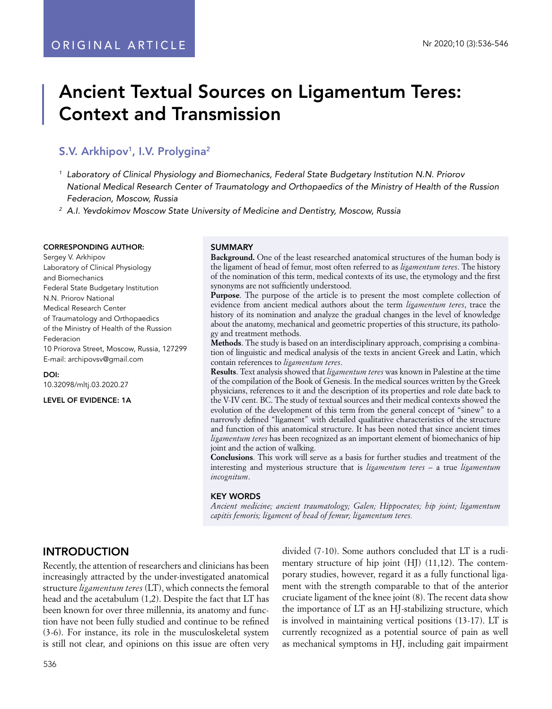# Ancient Textual Sources on Ligamentum Teres: Context and Transmission

# S.V. Arkhipov<sup>1</sup>, I.V. Prolygina<sup>2</sup>

*1 Laboratory of Clinical Physiology and Biomechanics, Federal State Budgetary Institution N.N. Priorov National Medical Research Center of Traumatology and Orthopaedics of the Ministry of Health of the Russion Federacion, Moscow, Russia* 

*2 A.I. Yevdokimov Moscow State University of Medicine and Dentistry, Moscow, Russia*

#### CORRESPONDING AUTHOR:

Sergey V. Arkhipov Laboratory of Clinical Physiology and Biomechanics Federal State Budgetary Institution N.N. Priorov National Medical Research Center of Traumatology and Orthopaedics of the Ministry of Health of the Russion Federacion 10 Priorova Street, Moscow, Russia, 127299 E-mail: archipovsv@gmail.com

DOI: 10.32098/mltj.03.2020.27

LEVEL OF EVIDENCE: 1A

#### SUMMARY

**Background.** One of the least researched anatomical structures of the human body is the ligament of head of femur, most often referred to as *ligamentum teres*. The history of the nomination of this term, medical contexts of its use, the etymology and the first synonyms are not sufficiently understood.

**Purpose**. The purpose of the article is to present the most complete collection of evidence from ancient medical authors about the term *ligamentum teres*, trace the history of its nomination and analyze the gradual changes in the level of knowledge about the anatomy, mechanical and geometric properties of this structure, its pathology and treatment methods.

**Methods**. The study is based on an interdisciplinary approach, comprising a combination of linguistic and medical analysis of the texts in ancient Greek and Latin, which contain references to *ligamentum teres*.

**Results**. Text analysis showed that *ligamentum teres* was known in Palestine at the time of the compilation of the Book of Genesis. In the medical sources written by the Greek physicians, references to it and the description of its properties and role date back to the V-IV cent. BC. The study of textual sources and their medical contexts showed the evolution of the development of this term from the general concept of "sinew" to a narrowly defined "ligament" with detailed qualitative characteristics of the structure and function of this anatomical structure. It has been noted that since ancient times *ligamentum teres* has been recognized as an important element of biomechanics of hip joint and the action of walking.

**Conclusions**. This work will serve as a basis for further studies and treatment of the interesting and mysterious structure that is *ligamentum teres* – a true *ligamentum incognitum*.

#### KEY WORDS

*Ancient medicine; ancient traumatology; Galen; Hippocrates; hip joint; ligamentum capitis femoris; ligament of head of femur; ligamentum teres.* 

# INTRODUCTION

Recently, the attention of researchers and clinicians has been increasingly attracted by the under-investigated anatomical structure *ligamentum teres* (LT), which connects the femoral head and the acetabulum (1,2). Despite the fact that LT has been known for over three millennia, its anatomy and function have not been fully studied and continue to be refined (3-6). For instance, its role in the musculoskeletal system is still not clear, and opinions on this issue are often very divided (7-10). Some authors concluded that LT is a rudimentary structure of hip joint (HJ) (11,12). The contemporary studies, however, regard it as a fully functional ligament with the strength comparable to that of the anterior cruciate ligament of the knee joint (8). The recent data show the importance of LT as an HJ-stabilizing structure, which is involved in maintaining vertical positions (13-17). LT is currently recognized as a potential source of pain as well as mechanical symptoms in HJ, including gait impairment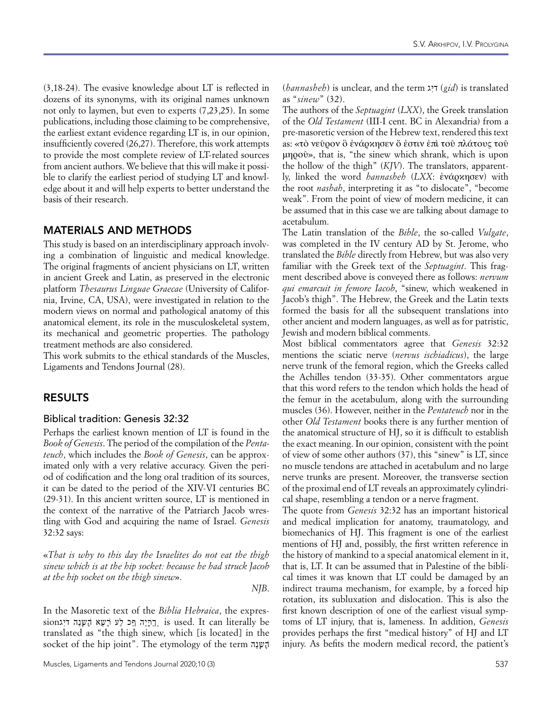(3,18-24). The evasive knowledge about LT is reflected in dozens of its synonyms, with its original names unknown not only to laymen, but even to experts (7,23,25). In some publications, including those claiming to be comprehensive, the earliest extant evidence regarding LT is, in our opinion, insufficiently covered (26,27). Therefore, this work attempts to provide the most complete review of LT-related sources from ancient authors. We believe that this will make it possible to clarify the earliest period of studying LT and knowledge about it and will help experts to better understand the basis of their research.

# MATERIALS AND METHODS

This study is based on an interdisciplinary approach involving a combination of linguistic and medical knowledge. The original fragments of ancient physicians on LT, written in ancient Greek and Latin, as preserved in the electronic platform *Thesaurus Linguae Graecae* (University of California, Irvine, CA, USA), were investigated in relation to the modern views on normal and pathological anatomy of this anatomical element, its role in the musculoskeletal system, its mechanical and geometric properties. The pathology treatment methods are also considered.

This work submits to the ethical standards of the Muscles, Ligaments and Tendons Journal (28).

## RESULTS

#### Biblical tradition: Genesis 32:32

Perhaps the earliest known mention of LT is found in the *Book of Genesis*. The period of the compilation of the *Pentateuch*, which includes the *Book of Genesis*, can be approximated only with a very relative accuracy. Given the period of codification and the long oral tradition of its sources, it can be dated to the period of the XIV-VI centuries BC (29-31). In this ancient written source, LT is mentioned in the context of the narrative of the Patriarch Jacob wrestling with God and acquiring the name of Israel. *Genesis* 32:32 says:

«*That is why to this day the Israelites do not eat the thigh sinew which is at the hip socket: because he had struck Jacob at the hip socket on the thigh sinew*».

*NJB*.

 $\sin$  sion הֲרָיָה ףָּכ לַע רָעֵא הָעַנָה דִּיְגּ $\ln$  is used. It can literally be In the Masoretic text of the *Biblia Hebraica*, the exprestranslated as "the thigh sinew, which [is located] in the socket of the hip joint". The etymology of the term הַנָּשֶׁה

Muscles, Ligaments and Tendons Journal 2020;10 (3) 537

(*hannasheh*) is unclear, and the term דיג *(gid*) is translated as "*sinew*" (32).

The authors of the *Septuagint* (*LXX*), the Greek translation of the *Old Testament* (III-I cent. BC in Alexandria) from a pre-masoretic version of the Hebrew text, rendered this text as: «τὸ νεῦρον ὃ ἐνάρκησεν ὅ ἐστιν ἐπι τοῦ πλάτους τοῦ μηροῦ», that is, "the sinew which shrank, which is upon the hollow of the thigh" (*KJV*). The translators, apparently, linked the word *hannasheh* (*LXX*: ἐνάρκησεν) with the root *nashah*, interpreting it as "to dislocate", "become weak". From the point of view of modern medicine, it can be assumed that in this case we are talking about damage to acetabulum.

The Latin translation of the *Bible*, the so-called *Vulgate*, was completed in the IV century AD by St. Jerome, who translated the *Bible* directly from Hebrew, but was also very familiar with the Greek text of the *Septuagint*. This fragment described above is conveyed there as follows: *nervum qui emarcuit in femore Iacob*, "sinew, which weakened in Jacob's thigh". The Hebrew, the Greek and the Latin texts formed the basis for all the subsequent translations into other ancient and modern languages, as well as for patristic, Jewish and modern biblical comments.

Most biblical commentators agree that *Genesis* 32:32 mentions the sciatic nerve (*nervus ischiadicus*), the large nerve trunk of the femoral region, which the Greeks called the Achilles tendon (33-35). Other commentators argue that this word refers to the tendon which holds the head of the femur in the acetabulum, along with the surrounding muscles (36). However, neither in the *Pentateuch* nor in the other *Old Testament* books there is any further mention of the anatomical structure of HJ, so it is difficult to establish the exact meaning. In our opinion, consistent with the point of view of some other authors (37), this "sinew" is LT, since no muscle tendons are attached in acetabulum and no large nerve trunks are present. Moreover, the transverse section of the proximal end of LT reveals an approximately cylindrical shape, resembling a tendon or a nerve fragment.

The quote from *Genesis* 32:32 has an important historical and medical implication for anatomy, traumatology, and biomechanics of HJ. This fragment is one of the earliest mentions of HJ and, possibly, the first written reference in the history of mankind to a special anatomical element in it, that is, LT. It can be assumed that in Palestine of the biblical times it was known that LT could be damaged by an indirect trauma mechanism, for example, by a forced hip rotation, its subluxation and dislocation. This is also the first known description of one of the earliest visual symptoms of LT injury, that is, lameness. In addition, *Genesis*  provides perhaps the first "medical history" of HJ and LT injury. As befits the modern medical record, the patient's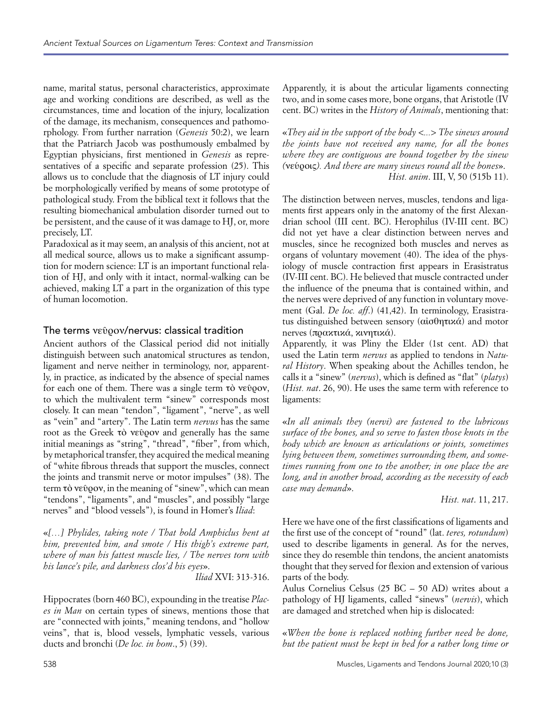name, marital status, personal characteristics, approximate age and working conditions are described, as well as the circumstances, time and location of the injury, localization of the damage, its mechanism, consequences and pathomorphology. From further narration (*Genesis* 50:2), we learn that the Patriarch Jacob was posthumously embalmed by Egyptian physicians, first mentioned in *Genesis* as representatives of a specific and separate profession (25). This allows us to conclude that the diagnosis of LT injury could be morphologically verified by means of some prototype of pathological study. From the biblical text it follows that the resulting biomechanical ambulation disorder turned out to be persistent, and the cause of it was damage to HJ, or, more precisely, LT.

Paradoxical as it may seem, an analysis of this ancient, not at all medical source, allows us to make a significant assumption for modern science: LT is an important functional relation of HJ, and only with it intact, normal-walking can be achieved, making LT a part in the organization of this type of human locomotion.

# The terms νεῦρον/nervus: classical tradition

Ancient authors of the Classical period did not initially distinguish between such anatomical structures as tendon, ligament and nerve neither in terminology, nor, apparently, in practice, as indicated by the absence of special names for each one of them. There was a single term τὸ νεῦρον, to which the multivalent term "sinew" corresponds most closely. It can mean "tendon", "ligament", "nerve", as well as "vein" and "artery". The Latin term *nervus* has the same root as the Greek τὸ νεῦρον and generally has the same initial meanings as "string", "thread", "fiber", from which, by metaphorical transfer, they acquired the medical meaning of "white fibrous threads that support the muscles, connect the joints and transmit nerve or motor impulses" (38). The term τὸ νεῦρον, in the meaning of "sinew", which can mean "tendons", "ligaments", and "muscles", and possibly "large nerves" and "blood vessels"), is found in Homer's *Iliad*:

«*[…] Phylides, taking note / That bold Amphiclus bent at him, prevented him, and smote / His thigh's extreme part, where of man his fattest muscle lies, / The nerves torn with his lance's pile, and darkness clos'd his eyes*».

*Iliad* XVI: 313-316.

Hippocrates (born 460 BC), expounding in the treatise *Places in Man* on certain types of sinews, mentions those that are "connected with joints," meaning tendons, and "hollow veins", that is, blood vessels, lymphatic vessels, various ducts and bronchi (*De loc. in hom*., 5) (39).

Apparently, it is about the articular ligaments connecting two, and in some cases more, bone organs, that Aristotle (IV cent. BC) writes in the *History of Animals*, mentioning that:

«*They aid in the support of the body <...> The sinews around the joints have not received any name, for all the bones where they are contiguous are bound together by the sinew (*νεύροις*). And there are many sinews round all the bones*». *Hist. anim*. III, V, 50 (515b 11).

The distinction between nerves, muscles, tendons and ligaments first appears only in the anatomy of the first Alexandrian school (III cent. BC). Herophilus (IV-III cent. BC) did not yet have a clear distinction between nerves and muscles, since he recognized both muscles and nerves as organs of voluntary movement (40). The idea of the physiology of muscle contraction first appears in Erasistratus (IV-III cent. BC). He believed that muscle contracted under the influence of the pneuma that is contained within, and the nerves were deprived of any function in voluntary movement (Gal. *De loc. aff*.) (41,42). In terminology, Erasistratus distinguished between sensory (αἰσθητικά) and motor nerves (πρακτικά, κινητικά).

Apparently, it was Pliny the Elder (1st cent. AD) that used the Latin term *nervus* as applied to tendons in *Natural History*. When speaking about the Achilles tendon, he calls it a "sinew" (*nervus*), which is defined as "flat" (*platys*) (*Hist. nat*. 26, 90). He uses the same term with reference to ligaments:

«*In all animals they (nervi) are fastened to the lubricous surface of the bones, and so serve to fasten those knots in the body which are known as articulations or joints, sometimes lying between them, sometimes surrounding them, and sometimes running from one to the another; in one place the are long, and in another broad, according as the necessity of each case may demand*».

*Hist. nat*. 11, 217.

Here we have one of the first classifications of ligaments and the first use of the concept of "round" (lat. *teres, rotundum*) used to describe ligaments in general. As for the nerves, since they do resemble thin tendons, the ancient anatomists thought that they served for flexion and extension of various parts of the body.

Aulus Cornelius Celsus (25 BC – 50 AD) writes about a pathology of HJ ligaments, called "sinews" (*nervis*), which are damaged and stretched when hip is dislocated:

«*When the bone is replaced nothing further need be done, but the patient must be kept in bed for a rather long time or*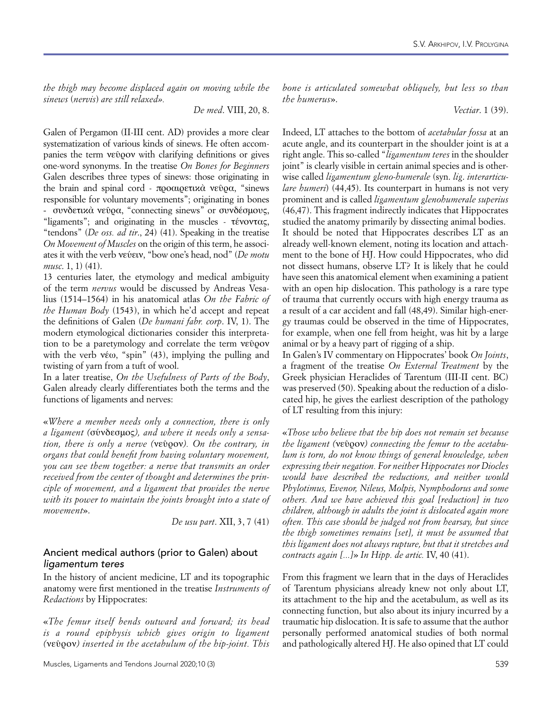*the thigh may become displaced again on moving while the sinews* (*nervis*) *are still relaxed».*

*De med*. VIII, 20, 8.

Galen of Pergamon (II-III cent. AD) provides a more clear systematization of various kinds of sinews. He often accompanies the term νεῦρον with clarifying definitions or gives one-word synonyms. In the treatise *On Bones for Beginners* Galen describes three types of sinews: those originating in the brain and spinal cord - προαιρετικὰ νεῦρα, "sinews responsible for voluntary movements"; originating in bones - συνδετικὰ νεῦρα, "connecting sinews" or συνδέσμους, "ligaments"; and originating in the muscles - τένοντας, "tendons" (*De oss. ad tir*., 24) (41). Speaking in the treatise *On Movement of Muscles* on the origin of this term, he associates it with the verb νεύειν, "bow one's head, nod" (*De motu musc*. 1, 1) (41).

13 centuries later, the etymology and medical ambiguity of the term *nervus* would be discussed by Andreas Vesalius (1514–1564) in his anatomical atlas *On the Fabric of the Human Body* (1543), in which he'd accept and repeat the definitions of Galen (*De humani fabr. corp*. IV, 1). The modern etymological dictionaries consider this interpretation to be a paretymology and correlate the term νεῦρον with the verb  $v \in \omega$ , "spin" (43), implying the pulling and twisting of yarn from a tuft of wool.

In a later treatise, *On the Usefulness of Parts of the Body*, Galen already clearly differentiates both the terms and the functions of ligaments and nerves:

«*Where a member needs only a connection, there is only a ligament (*σύνδεσμος*), and where it needs only a sensation, there is only a nerve (*νεῦρον*). On the contrary, in organs that could benefit from having voluntary movement, you can see them together: a nerve that transmits an order received from the center of thought and determines the principle of movement, and a ligament that provides the nerve with its power to maintain the joints brought into a state of movement*».

*De usu part*. XII, 3, 7 (41)

#### Ancient medical authors (prior to Galen) about *ligamentum teres*

In the history of ancient medicine, LT and its topographic anatomy were first mentioned in the treatise *Instruments of Redactions* by Hippocrates:

«*The femur itself bends outward and forward; its head is a round epiphysis which gives origin to ligament (*νεῦρον*) inserted in the acetabulum of the hip-joint. This*  *bone is articulated somewhat obliquely, but less so than the humerus*».

*Vectiar*. 1 (39).

Indeed, LT attaches to the bottom of *acetabular fossa* at an acute angle, and its counterpart in the shoulder joint is at a right angle. This so-called "*ligamentum teres* in the shoulder joint" is clearly visible in certain animal species and is otherwise called *ligamentum gleno-humerale* (syn. *lig*. *interarticulare humeri*) (44,45). Its counterpart in humans is not very prominent and is called *ligamentum glenohumerale superius* (46,47). This fragment indirectly indicates that Hippocrates studied the anatomy primarily by dissecting animal bodies. It should be noted that Hippocrates describes LT as an already well-known element, noting its location and attachment to the bone of HJ. How could Hippocrates, who did not dissect humans, observe LT? It is likely that he could have seen this anatomical element when examining a patient with an open hip dislocation. This pathology is a rare type of trauma that currently occurs with high energy trauma as a result of a car accident and fall (48,49). Similar high-energy traumas could be observed in the time of Hippocrates, for example, when one fell from height, was hit by a large animal or by a heavy part of rigging of a ship.

In Galen's IV commentary on Hippocrates' book *On Joints*, a fragment of the treatise *On External Treatment* by the Greek physician Heraclides of Tarentum (III-II cent. BC) was preserved (50). Speaking about the reduction of a dislocated hip, he gives the earliest description of the pathology of LT resulting from this injury:

«*Those who believe that the hip does not remain set because the ligament (*νεῦρον*) connecting the femur to the acetabulum is torn, do not know things of general knowledge, when expressing their negation. For neither Hippocrates nor Diocles would have described the reductions, and neither would Phylotimus, Evenor, Nileus, Molpis, Nymphodorus and some others. And we have achieved this goal [reduction] in two children, although in adults the joint is dislocated again more often. This case should be judged not from hearsay, but since the thigh sometimes remains [set], it must be assumed that this ligament does not always rupture, but that it stretches and contracts again [...]*» *In Hipp. de artic.* IV, 40 (41).

From this fragment we learn that in the days of Heraclides of Tarentum physicians already knew not only about LT, its attachment to the hip and the acetabulum, as well as its connecting function, but also about its injury incurred by a traumatic hip dislocation. It is safe to assume that the author personally performed anatomical studies of both normal and pathologically altered HJ. He also opined that LT could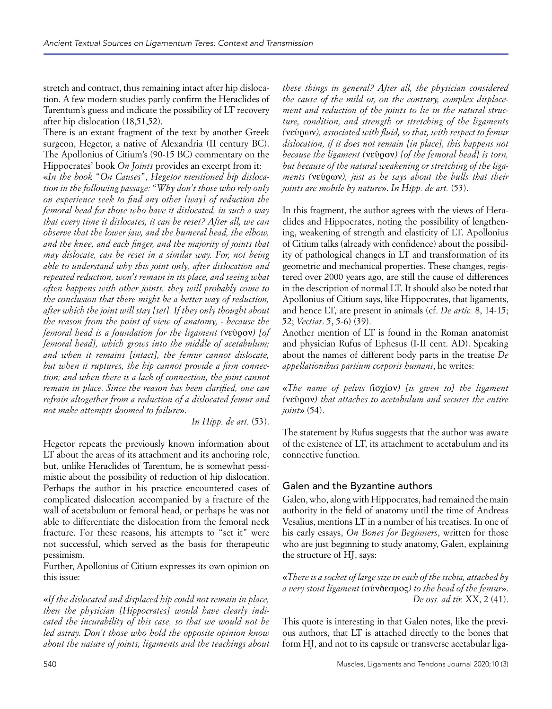stretch and contract, thus remaining intact after hip dislocation. A few modern studies partly confirm the Heraclides of Tarentum's guess and indicate the possibility of LT recovery after hip dislocation (18,51,52).

There is an extant fragment of the text by another Greek surgeon, Hegetor, a native of Alexandria (II century BC). The Apollonius of Citium's (90-15 BC) commentary on the Hippocrates' book *On Joints* provides an excerpt from it:

«*In the book* "*On Causes*", *Hegetor mentioned hip dislocation in the following passage:* "*Why don't those who rely only on experience seek to find any other [way] of reduction the femoral head for those who have it dislocated, in such a way that every time it dislocates, it can be reset? After all, we can observe that the lower jaw, and the humeral head, the elbow, and the knee, and each finger, and the majority of joints that may dislocate, can be reset in a similar way. For, not being able to understand why this joint only, after dislocation and repeated reduction, won't remain in its place, and seeing what often happens with other joints, they will probably come to the conclusion that there might be a better way of reduction, after which the joint will stay [set]. If they only thought about the reason from the point of view of anatomy, - because the femoral head is a foundation for the ligament (*νεῦρον*) [of femoral head], which grows into the middle of acetabulum; and when it remains [intact], the femur cannot dislocate, but when it ruptures, the hip cannot provide a firm connection; and when there is a lack of connection, the joint cannot remain in place. Since the reason has been clarified, one can refrain altogether from a reduction of a dislocated femur and not make attempts doomed to failure*».

*In Hipp. de art.* (53).

Hegetor repeats the previously known information about LT about the areas of its attachment and its anchoring role, but, unlike Heraclides of Tarentum, he is somewhat pessimistic about the possibility of reduction of hip dislocation. Perhaps the author in his practice encountered cases of complicated dislocation accompanied by a fracture of the wall of acetabulum or femoral head, or perhaps he was not able to differentiate the dislocation from the femoral neck fracture. For these reasons, his attempts to "set it" were not successful, which served as the basis for therapeutic pessimism.

Further, Apollonius of Citium expresses its own opinion on this issue:

«*If the dislocated and displaced hip could not remain in place, then the physician [Hippocrates] would have clearly indicated the incurability of this case, so that we would not be led astray. Don't those who hold the opposite opinion know about the nature of joints, ligaments and the teachings about*  *these things in general? After all, the physician considered the cause of the mild or, on the contrary, complex displacement and reduction of the joints to lie in the natural structure, condition, and strength or stretching of the ligaments (*νεύρων*), associated with fluid, so that, with respect to femur dislocation, if it does not remain [in place], this happens not because the ligament (*νεῦρον*) [of the femoral head] is torn, but because of the natural weakening or stretching of the ligaments (*νεύρων*), just as he says about the bulls that their joints are mobile by nature*». *In Hipp. de art.* (53).

In this fragment, the author agrees with the views of Heraclides and Hippocrates, noting the possibility of lengthening, weakening of strength and elasticity of LT. Apollonius of Citium talks (already with confidence) about the possibility of pathological changes in LT and transformation of its geometric and mechanical properties. These changes, registered over 2000 years ago, are still the cause of differences in the description of normal LT. It should also be noted that Apollonius of Citium says, like Hippocrates, that ligaments, and hence LT, are present in animals (cf. *De artic.* 8, 14-15; 52; *Vectiar*. 5, 5-6) (39).

Another mention of LT is found in the Roman anatomist and physician Rufus of Ephesus (I-II cent. AD). Speaking about the names of different body parts in the treatise *De appellationibus partium corporis humani*, he writes:

«*The name of pelvis (*ἰσχίον*) [is given to] the ligament (*νεῦρον*) that attaches to acetabulum and secures the entire joint*» (54).

The statement by Rufus suggests that the author was aware of the existence of LT, its attachment to acetabulum and its connective function.

# Galen and the Byzantine authors

Galen, who, along with Hippocrates, had remained the main authority in the field of anatomy until the time of Andreas Vesalius, mentions LT in a number of his treatises. In one of his early essays, *On Bones for Beginners*, written for those who are just beginning to study anatomy, Galen, explaining the structure of HJ, says:

«*There is a socket of large size in each of the ischia, attached by a very stout ligament (*σύνδεσμος*) to the head of the femur*». *De oss. ad tir.* XX, 2 (41).

This quote is interesting in that Galen notes, like the previous authors, that LT is attached directly to the bones that form HJ, and not to its capsule or transverse acetabular liga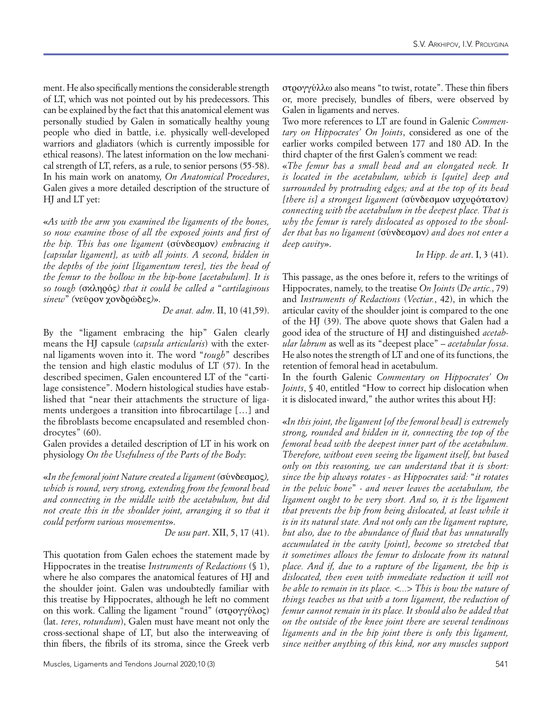ment. He also specifically mentions the considerable strength of LT, which was not pointed out by his predecessors. This can be explained by the fact that this anatomical element was personally studied by Galen in somatically healthy young people who died in battle, i.e. physically well-developed warriors and gladiators (which is currently impossible for ethical reasons). The latest information on the low mechanical strength of LT, refers, as a rule, to senior persons (55-58). In his main work on anatomy, *On Anatomical Procedures*, Galen gives a more detailed description of the structure of HI and LT yet:

«*As with the arm you examined the ligaments of the bones, so now examine those of all the exposed joints and first of the hip. This has one ligament* (σύνδεσμον*) embracing it [capsular ligament], as with all joints. A second, hidden in the depths of the joint [ligamentum teres], ties the head of the femur to the hollow in the hip-bone [acetabulum]. It is so tough (*σκληρός*) that it could be called a* "*cartilaginous sinew*" *(*νεῦρον χονδρῶδες*)*».

*De anat. adm*. II, 10 (41,59).

By the "ligament embracing the hip" Galen clearly means the HJ capsule (*capsula articularis*) with the external ligaments woven into it. The word "*tough*" describes the tension and high elastic modulus of LT (57). In the described specimen, Galen encountered LT of the "cartilage consistence". Modern histological studies have established that "near their attachments the structure of ligaments undergoes a transition into fibrocartilage […] and the fibroblasts become encapsulated and resembled chondrocytes" (60).

Galen provides a detailed description of LT in his work on physiology *On the Usefulness of the Parts of the Body*:

«*In the femoral joint Nature created a ligament (*σύνδεσμος*), which is round, very strong, extending from the femoral head and connecting in the middle with the acetabulum, but did not create this in the shoulder joint, arranging it so that it could perform various movements*».

*De usu part*. XII, 5, 17 (41).

This quotation from Galen echoes the statement made by Hippocrates in the treatise *Instruments of Redactions* (§ 1), where he also compares the anatomical features of HJ and the shoulder joint. Galen was undoubtedly familiar with this treatise by Hippocrates, although he left no comment on this work. Calling the ligament "round" (στρογγύλος) (lat. *teres*, *rotundum*), Galen must have meant not only the cross-sectional shape of LT, but also the interweaving of thin fibers, the fibrils of its stroma, since the Greek verb

στρογγύλλω also means "to twist, rotate". These thin fibers or, more precisely, bundles of fibers, were observed by Galen in ligaments and nerves.

Two more references to LT are found in Galenic *Commentary on Hippocrates' On Joints*, considered as one of the earlier works compiled between 177 and 180 AD. In the third chapter of the first Galen's comment we read:

«*The femur has a small head and an elongated neck. It is located in the acetabulum, which is [quite] deep and surrounded by protruding edges; and at the top of its head [there is] a strongest ligament (*σύνδεσμον ισχυρότατον*) connecting with the acetabulum in the deepest place. That is why the femur is rarely dislocated as opposed to the shoulder that has no ligament (*σύνδεσμον*) and does not enter a deep cavity*».

*In Hipp. de art*. I, 3 (41).

This passage, as the ones before it, refers to the writings of Hippocrates, namely, to the treatise *On Joints* (*De artic.*, 79) and *Instruments of Redactions* (*Vectiar.*, 42), in which the articular cavity of the shoulder joint is compared to the one of the HJ (39). The above quote shows that Galen had a good idea of the structure of HJ and distinguished *acetabular labrum* as well as its "deepest place" – *acetabular fossa*. He also notes the strength of LT and one of its functions, the retention of femoral head in acetabulum.

In the fourth Galenic *Commentary on Hippocrates' On Joints*, § 40, entitled "How to correct hip dislocation when it is dislocated inward," the author writes this about HJ:

«*In this joint, the ligament [of the femoral head] is extremely strong, rounded and hidden in it, connecting the top of the femoral head with the deepest inner part of the acetabulum. Therefore, without even seeing the ligament itself, but based only on this reasoning, we can understand that it is short: since the hip always rotates - as Hippocrates said:* "*it rotates in the pelvic bone*" *- and never leaves the acetabulum, the ligament ought to be very short. And so, it is the ligament that prevents the hip from being dislocated, at least while it is in its natural state. And not only can the ligament rupture, but also, due to the abundance of fluid that has unnaturally accumulated in the cavity [joint], become so stretched that it sometimes allows the femur to dislocate from its natural place. And if, due to a rupture of the ligament, the hip is dislocated, then even with immediate reduction it will not be able to remain in its place. <...> This is how the nature of things teaches us that with a torn ligament, the reduction of femur cannot remain in its place. It should also be added that on the outside of the knee joint there are several tendinous ligaments and in the hip joint there is only this ligament, since neither anything of this kind, nor any muscles support*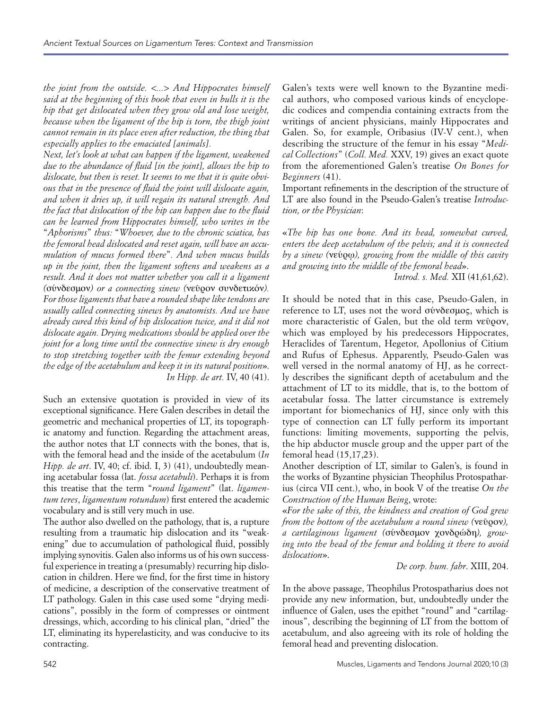*the joint from the outside. <...> And Hippocrates himself said at the beginning of this book that even in bulls it is the hip that get dislocated when they grow old and lose weight, because when the ligament of the hip is torn, the thigh joint cannot remain in its place even after reduction, the thing that especially applies to the emaciated [animals].*

*Next, let's look at what can happen if the ligament, weakened due to the abundance of fluid [in the joint], allows the hip to dislocate, but then is reset. It seems to me that it is quite obvious that in the presence of fluid the joint will dislocate again, and when it dries up, it will regain its natural strength. And the fact that dislocation of the hip can happen due to the fluid can be learned from Hippocrates himself, who writes in the* "*Aphorisms*" *thus:* "*Whoever, due to the chronic sciatica, has the femoral head dislocated and reset again, will have an accumulation of mucus formed there*"*. And when mucus builds up in the joint, then the ligament softens and weakens as a result. And it does not matter whether you call it a ligament (*σύνδεσμον*) or a connecting sinew (*νεῦρον συνδετικόν*). For those ligaments that have a rounded shape like tendons are usually called connecting sinews by anatomists. And we have already cured this kind of hip dislocation twice, and it did not dislocate again. Drying medications should be applied over the joint for a long time until the connective sinew is dry enough to stop stretching together with the femur extending beyond the edge of the acetabulum and keep it in its natural position*». *In Hipp. de art.* IV, 40 (41).

Such an extensive quotation is provided in view of its exceptional significance. Here Galen describes in detail the geometric and mechanical properties of LT, its topographic anatomy and function. Regarding the attachment areas, the author notes that LT connects with the bones, that is, with the femoral head and the inside of the acetabulum (*In Hipp. de art*. IV, 40; cf. ibid. I, 3) (41), undoubtedly meaning acetabular fossa (lat. *fossa acetabuli*). Perhaps it is from this treatise that the term "*round ligament*" (lat. *ligamentum teres*, *ligamentum rotundum*) first entered the academic vocabulary and is still very much in use.

The author also dwelled on the pathology, that is, a rupture resulting from a traumatic hip dislocation and its "weakening" due to accumulation of pathological fluid, possibly implying synovitis. Galen also informs us of his own successful experience in treating a (presumably) recurring hip dislocation in children. Here we find, for the first time in history of medicine, a description of the conservative treatment of LT pathology. Galen in this case used some "drying medications", possibly in the form of compresses or ointment dressings, which, according to his clinical plan, "dried" the LT, eliminating its hyperelasticity, and was conducive to its contracting.

Galen's texts were well known to the Byzantine medical authors, who composed various kinds of encyclopedic codices and compendia containing extracts from the writings of ancient physicians, mainly Hippocrates and Galen. So, for example, Oribasius (IV-V cent.), when describing the structure of the femur in his essay "*Medical Collections*" (*Coll. Med.* XXV, 19) gives an exact quote from the aforementioned Galen's treatise *On Bones for Beginners* (41).

Important refinements in the description of the structure of LT are also found in the Pseudo-Galen's treatise *Introduction, or the Physician*:

«*The hip has one bone. And its head, somewhat curved, enters the deep acetabulum of the pelvis; and it is connected by a sinew (*νεύρῳ*), growing from the middle of this cavity and growing into the middle of the femoral head*».

*Introd. s. Med.* XII (41,61,62).

It should be noted that in this case, Pseudo-Galen, in reference to LT, uses not the word σύνδεσμος, which is more characteristic of Galen, but the old term νεῦρον, which was employed by his predecessors Hippocrates, Heraclides of Tarentum, Hegetor, Apollonius of Citium and Rufus of Ephesus. Apparently, Pseudo-Galen was well versed in the normal anatomy of HJ, as he correctly describes the significant depth of acetabulum and the attachment of LT to its middle, that is, to the bottom of acetabular fossa. The latter circumstance is extremely important for biomechanics of HJ, since only with this type of connection can LT fully perform its important functions: limiting movements, supporting the pelvis, the hip abductor muscle group and the upper part of the femoral head (15,17,23).

Another description of LT, similar to Galen's, is found in the works of Byzantine physician Theophilus Protospatharius (circa VII cent.), who, in book V of the treatise *On the Construction of the Human Being*, wrote:

«*For the sake of this, the kindness and creation of God grew from the bottom of the acetabulum a round sinew (*νεῦρον*), a cartilaginous ligament (*σύνδεσμον χονδρώδη*), growing into the head of the femur and holding it there to avoid dislocation*».

*De corp. hum. fabr*. XIII, 204.

In the above passage, Theophilus Protospatharius does not provide any new information, but, undoubtedly under the influence of Galen, uses the epithet "round" and "cartilaginous", describing the beginning of LT from the bottom of acetabulum, and also agreeing with its role of holding the femoral head and preventing dislocation.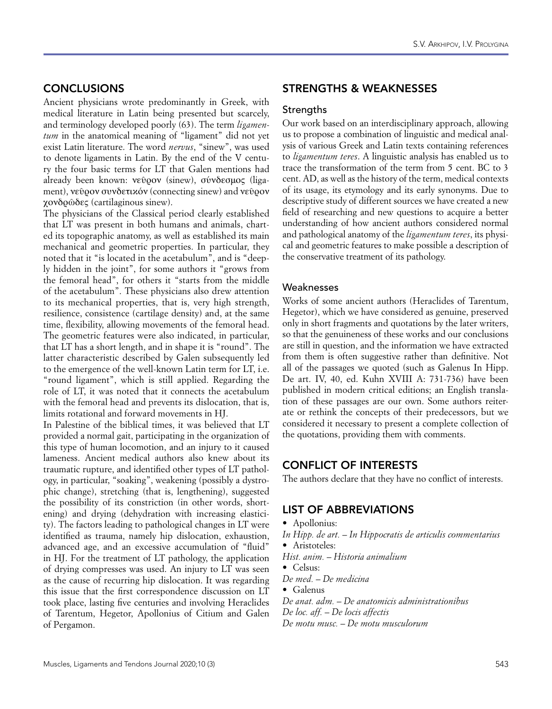# **CONCLUSIONS**

Ancient physicians wrote predominantly in Greek, with medical literature in Latin being presented but scarcely, and terminology developed poorly (63). The term *ligamentum* in the anatomical meaning of "ligament" did not yet exist Latin literature. The word *nervus*, "sinew", was used to denote ligaments in Latin. By the end of the V century the four basic terms for LT that Galen mentions had already been known: νεῦρον (sinew), σύνδεσμος (ligament), νεῦρον συνδετικόν (connecting sinew) and νεῦρον χονδρῶδες (cartilaginous sinew).

The physicians of the Classical period clearly established that LT was present in both humans and animals, charted its topographic anatomy, as well as established its main mechanical and geometric properties. In particular, they noted that it "is located in the acetabulum", and is "deeply hidden in the joint", for some authors it "grows from the femoral head", for others it "starts from the middle of the acetabulum". These physicians also drew attention to its mechanical properties, that is, very high strength, resilience, consistence (cartilage density) and, at the same time, flexibility, allowing movements of the femoral head. The geometric features were also indicated, in particular, that LT has a short length, and in shape it is "round". The latter characteristic described by Galen subsequently led to the emergence of the well-known Latin term for LT, i.e. "round ligament", which is still applied. Regarding the role of LT, it was noted that it connects the acetabulum with the femoral head and prevents its dislocation, that is, limits rotational and forward movements in HJ.

In Palestine of the biblical times, it was believed that LT provided a normal gait, participating in the organization of this type of human locomotion, and an injury to it caused lameness. Ancient medical authors also knew about its traumatic rupture, and identified other types of LT pathology, in particular, "soaking", weakening (possibly a dystrophic change), stretching (that is, lengthening), suggested the possibility of its constriction (in other words, shortening) and drying (dehydration with increasing elasticity). The factors leading to pathological changes in LT were identified as trauma, namely hip dislocation, exhaustion, advanced age, and an excessive accumulation of "fluid" in HJ. For the treatment of LT pathology, the application of drying compresses was used. An injury to LT was seen as the cause of recurring hip dislocation. It was regarding this issue that the first correspondence discussion on LT took place, lasting five centuries and involving Heraclides of Tarentum, Hegetor, Apollonius of Citium and Galen of Pergamon.

# STRENGTHS & WEAKNESSES

#### **Strengths**

Our work based on an interdisciplinary approach, allowing us to propose a combination of linguistic and medical analysis of various Greek and Latin texts containing references to *ligamentum teres*. A linguistic analysis has enabled us to trace the transformation of the term from 5 cent. BC to 3 cent. AD, as well as the history of the term, medical contexts of its usage, its etymology and its early synonyms. Due to descriptive study of different sources we have created a new field of researching and new questions to acquire a better understanding of how ancient authors considered normal and pathological anatomy of the *ligamentum teres*, its physical and geometric features to make possible a description of the conservative treatment of its pathology.

#### Weaknesses

Works of some ancient authors (Heraclides of Tarentum, Hegetor), which we have considered as genuine, preserved only in short fragments and quotations by the later writers, so that the genuineness of these works and our conclusions are still in question, and the information we have extracted from them is often suggestive rather than definitive. Not all of the passages we quoted (such as Galenus In Hipp. De art. IV, 40, ed. Kuhn XVIII A: 731-736) have been published in modern critical editions; an English translation of these passages are our own. Some authors reiterate or rethink the concepts of their predecessors, but we considered it necessary to present a complete collection of the quotations, providing them with comments.

## CONFLICT OF INTERESTS

The authors declare that they have no conflict of interests.

## LIST OF ABBREVIATIONS

- Apollonius:
- *In Hipp. de art. In Hippocratis de articulis commentarius*
- Aristoteles:
- *Hist. anim. Historia animalium*
- Celsus:
- *De med. De medicina*
- Galenus
- *De anat. adm. De anatomicis administrationibus*
- *De loc. aff. De locis affectis*
- *De motu musc. De motu musculorum*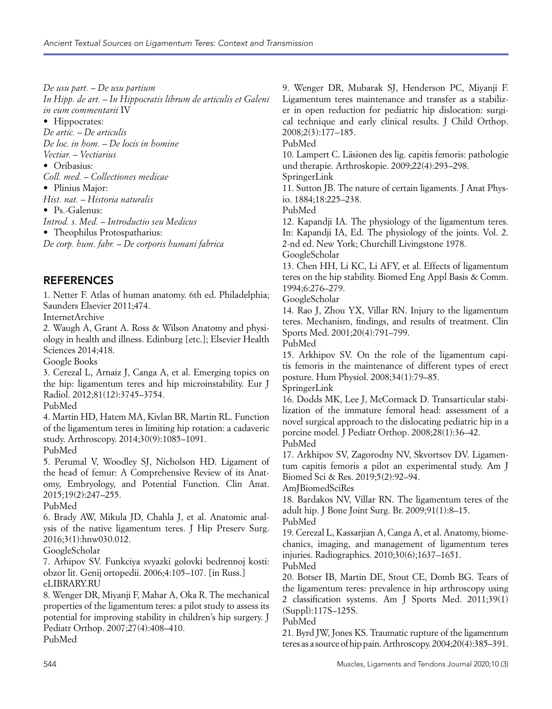*De usu part. – De usu partium In Hipp. de art.* – *In Hippocratis librum de articulis et Galeni in eum commentarii* IV • Hippocrates: *De artic. – De articulis De loc. in hom. – De locis in homine Vectiar. – Vectiarius* • Oribasius: *Coll. med. – Collectiones medicae* • Plinius Major: *Hist. nat. – Historia naturalis* • Ps.-Galenus: *Introd. s. Med. – Introductio seu Medicus* • Theophilus Protospatharius: *De corp. hum. fabr. – De corporis humani fabrica*

# **REFERENCES**

1. Netter F. Atlas of human anatomy. 6th ed. Philadelphia; Saunders Elsevier 2011;474.

InternetArchive

2. Waugh A, Grant A. Ross & Wilson Anatomy and physiology in health and illness. Edinburg [etc.]; Elsevier Health Sciences 2014;418.

Google Books

3. Cerezal L, Arnaiz J, Canga A, et al. Emerging topics on the hip: ligamentum teres and hip microinstability. Eur J Radiol. 2012;81(12):3745–3754.

PubMed

4. Martin HD, Hatem MA, Kivlan BR, Martin RL. Function of the ligamentum teres in limiting hip rotation: a cadaveric study. Arthroscopy. 2014;30(9):1085–1091.

PubMed

5. Perumal V, Woodley SJ, Nicholson HD. Ligament of the head of femur: A Comprehensive Review of its Anatomy, Embryology, and Potential Function. Clin Anat. 2015;19(2):247–255.

PubMed

6. Brady AW, Mikula JD, Chahla J, et al. Anatomic analysis of the native ligamentum teres. J Hip Preserv Surg. 2016;3(1):hnw030.012.

GoogleScholar

7. Arhipov SV. Funkciya svyazki golovki bedrennoj kosti: obzor lit. Genij ortopedii. 2006;4:105–107. [in Russ.] eLIBRARY.RU

8. Wenger DR, Miyanji F, Mahar A, Oka R. The mechanical properties of the ligamentum teres: a pilot study to assess its potential for improving stability in children's hip surgery. J Pediatr Orthop. 2007;27(4):408–410.

PubMed

9. Wenger DR, Mubarak SJ, Henderson PC, Miyanji F. Ligamentum teres maintenance and transfer as a stabilizer in open reduction for pediatric hip dislocation: surgical technique and early clinical results. J Child Orthop. 2008;2(3):177–185.

PubMed

10. Lampert C. Läsionen des lig. capitis femoris: pathologie und therapie. Arthroskopie. 2009;22(4):293–298.

SpringerLink

11. Sutton JB. The nature of certain ligaments. J Anat Physio. 1884;18:225–238.

PubMed

12. Kapandji IA. The physiology of the ligamentum teres. In: Kapandji IA, Ed. The physiology of the joints. Vol. 2. 2-nd ed. New York; Churchill Livingstone 1978.

GoogleScholar

13. Chen HH, Li KC, Li AFY, et al. Effects of ligamentum teres on the hip stability. Biomed Eng Appl Basis & Comm. 1994;6:276–279.

GoogleScholar

14. Rao J, Zhou YX, Villar RN. Injury to the ligamentum teres. Mechanism, findings, and results of treatment. Clin Sports Med. 2001;20(4):791–799.

PubMed

15. Arkhipov SV. On the role of the ligamentum capitis femoris in the maintenance of different types of erect posture. Hum Physiol. 2008;34(1):79–85.

SpringerLink

16. Dodds MK, Lee J, McCormack D. Transarticular stabilization of the immature femoral head: assessment of a novel surgical approach to the dislocating pediatric hip in a porcine model. J Pediatr Orthop. 2008;28(1):36–42. PubMed

17. Arkhipov SV, Zagorodny NV, Skvortsov DV. Ligamentum capitis femoris a pilot an experimental study. Am J Biomed Sci & Res. 2019;5(2):92–94.

AmJBiomedSciRes

18. Bardakos NV, Villar RN. The ligamentum teres of the adult hip. J Bone Joint Surg. Br. 2009;91(1):8–15.

PubMed

19. Cerezal L, Kassarjian A, Canga A, et al. Anatomy, biomechanics, imaging, and management of ligamentum teres injuries. Radiographics. 2010;30(6);1637–1651.

PubMed

20. Botser IB, Martin DE, Stout CE, Domb BG. Tears of the ligamentum teres: prevalence in hip arthroscopy using 2 classification systems. Am J Sports Med. 2011;39(1) (Suppl):117S–125S.

PubMed

21. Byrd JW, Jones KS. Traumatic rupture of the ligamentum teres as a source of hip pain. Arthroscopy. 2004;20(4):385–391.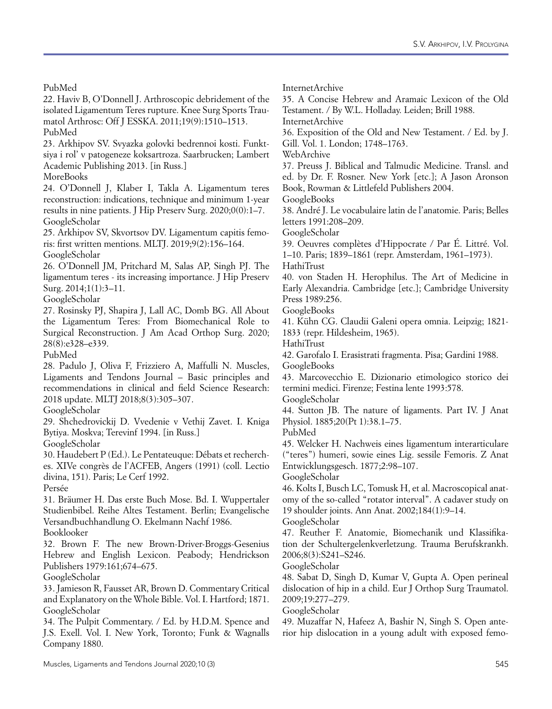PubMed

22. Haviv B, O'Donnell J. Arthroscopic debridement of the isolated Ligamentum Teres rupture. Knee Surg Sports Traumatol Arthrosc: Off J ESSKA. 2011;19(9):1510–1513. PubMed

23. Arkhipov SV. Svyazka golovki bedrennoi kosti. Funktsiya i rol' v patogeneze koksartroza. Saarbrucken; Lambert Academic Publishing 2013. [in Russ.]

MoreBooks

24. O'Donnell J, Klaber I, Takla A. Ligamentum teres reconstruction: indications, technique and minimum 1-year results in nine patients. J Hip Preserv Surg. 2020;0(0):1–7. GoogleScholar

25. Arkhipov SV, Skvortsov DV. Ligamentum capitis femoris: first written mentions. MLTJ. 2019;9(2):156–164. GoogleScholar

26. O'Donnell JM, Pritchard M, Salas AP, Singh PJ. The ligamentum teres - its increasing importance. J Hip Preserv Surg. 2014;1(1):3–11.

GoogleScholar

27. Rosinsky PJ, Shapira J, Lall AC, Domb BG. All About the Ligamentum Teres: From Biomechanical Role to Surgical Reconstruction. J Am Acad Orthop Surg. 2020; 28(8):e328–e339.

PubMed

28. Padulo J, Oliva F, Frizziero A, Maffulli N. Muscles, Ligaments and Tendons Journal – Basic principles and recommendations in clinical and field Science Research: 2018 update. MLTJ 2018;8(3):305–307.

GoogleScholar

29. Shchedrovickij D. Vvedenie v Vethij Zavet. I. Kniga Bytiya. Moskva; Terevinf 1994. [in Russ.]

GoogleScholar

30. Haudebert P (Ed.). Le Pentateuque: Débats et recherches. XIVe congrès de l'ACFEB, Angers (1991) (coll. Lectio divina, 151). Paris; Le Cerf 1992.

Persée

31. Bräumer H. Das erste Buch Mose. Bd. I. Wuppertaler Studienbibel. Reihe Altes Testament. Berlin; Evangelische Versandbuchhandlung O. Ekelmann Nachf 1986. Booklooker

32. Brown F. The new Brown-Driver-Broggs-Gesenius Hebrew and English Lexicon. Peabody; Hendrickson Publishers 1979:161;674–675.

GoogleScholar

33. Jamieson R, Fausset AR, Brown D. Commentary Critical and Explanatory on the Whole Bible. Vol. I. Hartford; 1871. GoogleScholar

34. The Pulpit Commentary. / Ed. by H.D.M. Spence and J.S. Exell. Vol. I. New York, Toronto; Funk & Wagnalls Company 1880.

InternetArchive

35. A Concise Hebrew and Aramaic Lexicon of the Old Testament. / By W.L. Holladay. Leiden; Brill 1988.

InternetArchive

36. Exposition of the Old and New Testament. / Ed. by J. Gill. Vol. 1. London; 1748–1763.

WebArchive

37. Preuss J. Biblical and Talmudic Medicine. Transl. and ed. by Dr. F. Rosner. New York [etc.]; A Jason Aronson Book, Rowman & Littlefeld Publishers 2004.

GoogleBooks

38. André J. Le vocabulaire latin de l'anatomie. Paris; Belles letters 1991:208–209.

GoogleScholar

39. Oeuvres complètes d'Hippocrate / Par É. Littré. Vol. 1–10. Paris; 1839–1861 (repr. Amsterdam, 1961–1973).

HathiTrust

40. von Staden H. Herophilus. The Art of Medicine in Early Alexandria. Cambridge [etc.]; Cambridge University Press 1989:256.

GoogleBooks

41. Kühn CG. Claudii Galeni opera omnia. Leipzig; 1821- 1833 (repr. Hildesheim, 1965).

HathiTrust

42. Garofalo I. Erasistrati fragmenta. Pisa; Gardini 1988. GoogleBooks

43. Marcovecchio E. Dizionario etimologico storico dei termini medici. Firenze; Festina lente 1993:578.

GoogleScholar

44. Sutton JB. The nature of ligaments. Part IV. J Anat Physiol. 1885;20(Pt 1):38.1–75.

PubMed

45. Welcker H. Nachweis eines ligamentum interarticulare ("teres") humeri, sowie eines Lig. sessile Femoris. Z Anat Entwicklungsgesch. 1877;2:98–107.

GoogleScholar

46. Kolts I, Busch LC, Tomusk H, et al. Macroscopical anatomy of the so-called "rotator interval". A cadaver study on 19 shoulder joints. Ann Anat. 2002;184(1):9–14.

GoogleScholar

47. Reuther F. Anatomie, Biomechanik und Klassifikation der Schultergelenkverletzung. Trauma Berufskrankh. 2006;8(3):S241–S246.

GoogleScholar

48. Sabat D, Singh D, Kumar V, Gupta A. Open perineal dislocation of hip in a child. Eur J Orthop Surg Traumatol. 2009;19:277–279.

GoogleScholar

49. Muzaffar N, Hafeez A, Bashir N, Singh S. Open anterior hip dislocation in a young adult with exposed femo